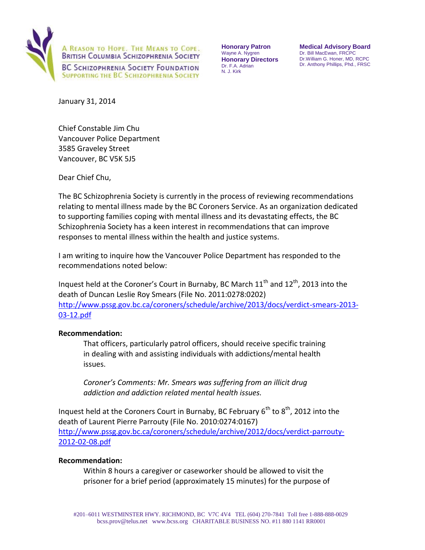

**Honorary Patron**  Wayne A. Nygren **Honorary Directors**  Dr. F.A. Adrian N. J. Kirk

**Medical Advisory Board**  Dr. Bill MacEwan, FRCPC Dr.William G. Honer, MD, RCPC Dr. Anthony Phillips, Phd., FRSC

January 31, 2014

Chief Constable Jim Chu Vancouver Police Department 3585 Graveley Street Vancouver, BC V5K 5J5

Dear Chief Chu,

The BC Schizophrenia Society is currently in the process of reviewing recommendations relating to mental illness made by the BC Coroners Service. As an organization dedicated to supporting families coping with mental illness and its devastating effects, the BC Schizophrenia Society has a keen interest in recommendations that can improve responses to mental illness within the health and justice systems.

I am writing to inquire how the Vancouver Police Department has responded to the recommendations noted below:

Inquest held at the Coroner's Court in Burnaby, BC March  $11<sup>th</sup>$  and  $12<sup>th</sup>$ , 2013 into the death of Duncan Leslie Roy Smears (File No. 2011:0278:0202) [http://www.pssg.gov.bc.ca/coroners/schedule/archive/2013/docs/verdict-smears-2013-](http://www.pssg.gov.bc.ca/coroners/schedule/archive/2013/docs/verdict-smears-2013-03-12.pdf) [03-12.pdf](http://www.pssg.gov.bc.ca/coroners/schedule/archive/2013/docs/verdict-smears-2013-03-12.pdf)

## **Recommendation:**

That officers, particularly patrol officers, should receive specific training in dealing with and assisting individuals with addictions/mental health issues.

*Coroner's Comments: Mr. Smears was suffering from an illicit drug addiction and addiction related mental health issues.* 

Inquest held at the Coroners Court in Burnaby, BC February  $6^{th}$  to  $8^{th}$ , 2012 into the death of Laurent Pierre Parrouty (File No. 2010:0274:0167) [http://www.pssg.gov.bc.ca/coroners/schedule/archive/2012/docs/verdict-parrouty-](http://www.pssg.gov.bc.ca/coroners/schedule/archive/2012/docs/verdict-parrouty-2012-02-08.pdf)[2012-02-08.pdf](http://www.pssg.gov.bc.ca/coroners/schedule/archive/2012/docs/verdict-parrouty-2012-02-08.pdf)

## **Recommendation:**

Within 8 hours a caregiver or caseworker should be allowed to visit the prisoner for a brief period (approximately 15 minutes) for the purpose of